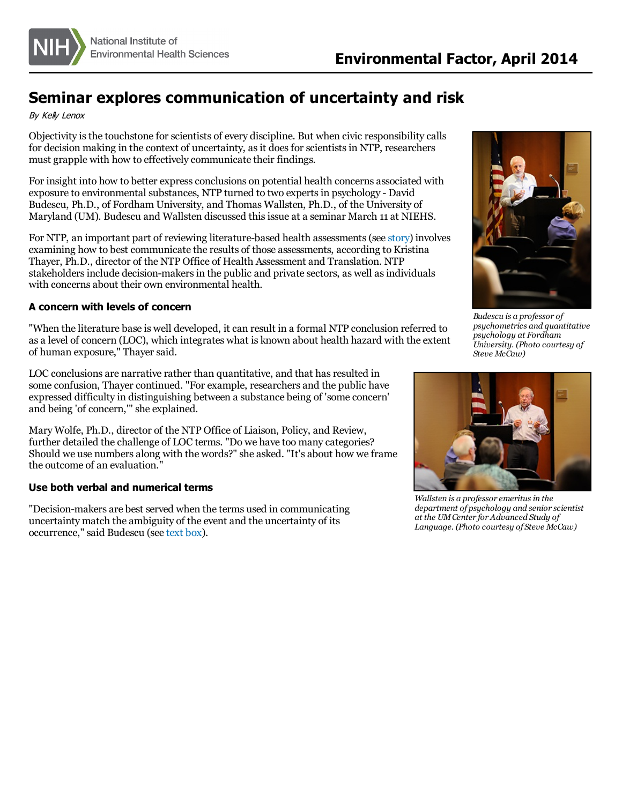

# **Seminar explores communication of uncertainty and risk**

By Kely Lenox

Objectivity is the touchstone for scientists of every discipline. But when civic responsibility calls for decision making in the context of uncertainty, as it does for scientists in NTP, researchers must grapple with how to effectively communicate their findings.

For insight into how to better express conclusions on potential health concerns associated with exposure to environmental substances, NTP turned to two expertsin psychology - David Budescu, Ph.D., of Fordham University, and Thomas Wallsten, Ph.D., of the University of Maryland (UM). Budescu and Wallsten discussed thisissue at a seminar March 11 at NIEHS.

For NTP, an important part of reviewing literature-based health assessments(see [story](http://www.niehs.nih.gov/news/newsletter/2013/1/science-ntp/index.htm)) involves examining how to best communicate the results of those assessments, according to Kristina Thayer, Ph.D., director of the NTP Office of Health Assessment and Translation. NTP stakeholders include decision-makers in the public and private sectors, as well as individuals with concerns about their own environmental health.

# **A concern with levels of concern**

"When the literature base is well developed, it can result in a formal NTP conclusion referred to as a level of concern (LOC), which integrates what is known about health hazard with the extent of human exposure," Thayer said.

LOC conclusions are narrative rather than quantitative, and that has resulted in some confusion, Thayer continued. "For example, researchers and the public have expressed difficulty in distinguishing between a substance being of 'some concern' and being 'of concern,'" she explained.

Mary Wolfe, Ph.D., director of the NTP Office of Liaison, Policy, and Review, further detailed the challenge of LOC terms. "Do we have too many categories? Should we use numbers along with the words?" she asked. "It's about how we frame the outcome of an evaluation."

# **Use both verbal and numerical terms**

"Decision-makers are best served when the terms used in communicating uncertainty match the ambiguity of the event and the uncertainty of its occurrence," said Budescu (see [text](#page-1-0) box).



*Budescu is a professor of psychometrics and quantitative psychology at Fordham University. (Photo courtesy of Steve McCaw)*



*Wallsten is a professor emeritusin the department of psychology and senior scientist at the UMCenter for Advanced Study of Language. (Photo courtesy of Steve McCaw)*